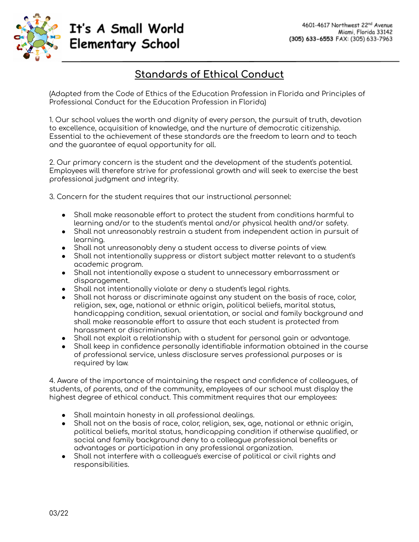

## It's A Small World **Elementary School**

## **Standards of Ethical Conduct**

(Adapted from the Code of Ethics of the Education Profession in Florida and Principles of Professional Conduct for the Education Profession in Florida)

1. Our school values the worth and dignity of every person, the pursuit of truth, devotion to excellence, acquisition of knowledge, and the nurture of democratic citizenship. Essential to the achievement of these standards are the freedom to learn and to teach and the guarantee of equal opportunity for all.

2. Our primary concern is the student and the development of the student's potential. Employees will therefore strive for professional growth and will seek to exercise the best professional judgment and integrity.

3. Concern for the student requires that our instructional personnel:

- Shall make reasonable effort to protect the student from conditions harmful to learning and/or to the student's mental and/or physical health and/or safety.
- Shall not unreasonably restrain a student from independent action in pursuit of learning.
- Shall not unreasonably deny a student access to diverse points of view.
- Shall not intentionally suppress or distort subject matter relevant to a student's academic program.
- Shall not intentionally expose a student to unnecessary embarrassment or disparagement.
- Shall not intentionally violate or deny a student's legal rights.
- Shall not harass or discriminate against any student on the basis of race, color, religion, sex, age, national or ethnic origin, political beliefs, marital status, handicapping condition, sexual orientation, or social and family background and shall make reasonable effort to assure that each student is protected from harassment or discrimination.
- Shall not exploit a relationship with a student for personal gain or advantage.
- Shall keep in confidence personally identifiable information obtained in the course of professional service, unless disclosure serves professional purposes or is required by law.

4. Aware of the importance of maintaining the respect and confidence of colleagues, of students, of parents, and of the community, employees of our school must display the highest degree of ethical conduct. This commitment requires that our employees:

- Shall maintain honesty in all professional dealings.
- Shall not on the basis of race, color, religion, sex, age, national or ethnic origin, political beliefs, marital status, handicapping condition if otherwise qualified, or social and family background deny to a colleague professional benefits or advantages or participation in any professional organization.
- Shall not interfere with a colleague's exercise of political or civil rights and responsibilities.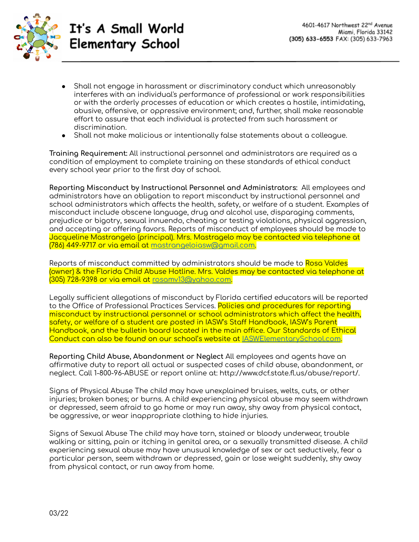

It's A Small World **Elementary School** 

- Shall not engage in harassment or discriminatory conduct which unreasonably interferes with an individual's performance of professional or work responsibilities or with the orderly processes of education or which creates a hostile, intimidating, abusive, offensive, or oppressive environment; and, further, shall make reasonable effort to assure that each individual is protected from such harassment or discrimination.
- Shall not make malicious or intentionally false statements about a colleague.

**Training Requirement:** All instructional personnel and administrators are required as a condition of employment to complete training on these standards of ethical conduct every school year prior to the first day of school.

**Reporting Misconduct by Instructional Personnel and Administrators:** All employees and administrators have an obligation to report misconduct by instructional personnel and school administrators which affects the health, safety, or welfare of a student. Examples of misconduct include obscene language, drug and alcohol use, disparaging comments, prejudice or bigotry, sexual innuendo, cheating or testing violations, physical aggression, and accepting or offering favors. Reports of misconduct of employees should be made to Jacqueline Mastrangelo (principal). Mrs. Mastragelo may be contacted via telephone at (786) 449-9717 or via email at [mastrangeloiasw@gmail.com.](mailto:mastrangeloiasw@gmail.com)

Reports of misconduct committed by administrators should be made to Rosa Valdes (owner) & the Florida Child Abuse Hotline. Mrs. Valdes may be contacted via telephone at (305) 728-9398 or via email at [rosamv13@yahoo.com.](mailto:rosamv13@yahoo.com)

Legally sufficient allegations of misconduct by Florida certified educators will be reported to the Office of Professional Practices Services. Policies and procedures for reporting misconduct by instructional personnel or school administrators which affect the health, safety, or welfare of a student are posted in IASW's Staff Handbook, IASW's Parent Handbook, and the bulletin board located in the main office. Our Standards of Ethical Conduct can also be found on our school's website at [IASWElementarySchool.com](https://www.iaswelementaryschool.com/).

**Reporting Child Abuse, Abandonment or Neglect** All employees and agents have an affirmative duty to report all actual or suspected cases of child abuse, abandonment, or neglect. Call 1-800-96-ABUSE or report online at: http://www.dcf.state.fl.us/abuse/report/.

Signs of Physical Abuse The child may have unexplained bruises, welts, cuts, or other injuries; broken bones; or burns. A child experiencing physical abuse may seem withdrawn or depressed, seem afraid to go home or may run away, shy away from physical contact, be aggressive, or wear inappropriate clothing to hide injuries.

Signs of Sexual Abuse The child may have torn, stained or bloody underwear, trouble walking or sitting, pain or itching in genital area, or a sexually transmitted disease. A child experiencing sexual abuse may have unusual knowledge of sex or act seductively, fear a particular person, seem withdrawn or depressed, gain or lose weight suddenly, shy away from physical contact, or run away from home.